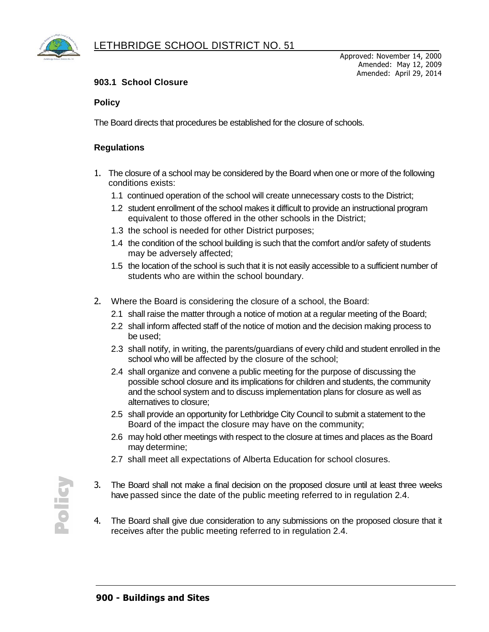

## **903.1 School Closure**

## **Policy**

The Board directs that procedures be established for the closure of schools.

## **Regulations**

- 1. The closure of a school may be considered by the Board when one or more of the following conditions exists:
	- 1.1 continued operation of the school will create unnecessary costs to the District;
	- 1.2 student enrollment of the school makes it difficult to provide an instructional program equivalent to those offered in the other schools in the District;
	- 1.3 the school is needed for other District purposes;
	- 1.4 the condition of the school building is such that the comfort and/or safety of students may be adversely affected;
	- 1.5 the location of the school is such that it is not easily accessible to a sufficient number of students who are within the school boundary.
- 2. Where the Board is considering the closure of a school, the Board:
	- 2.1 shall raise the matter through a notice of motion at a regular meeting of the Board;
	- 2.2 shall inform affected staff of the notice of motion and the decision making process to be used;
	- 2.3 shall notify, in writing, the parents/guardians of every child and student enrolled in the school who will be affected by the closure of the school;
	- 2.4 shall organize and convene a public meeting for the purpose of discussing the possible school closure and its implications for children and students, the community and the school system and to discuss implementation plans for closure as well as alternatives to closure;
	- 2.5 shall provide an opportunity for Lethbridge City Council to submit a statement to the Board of the impact the closure may have on the community;
	- 2.6 may hold other meetings with respect to the closure at times and places as the Board may determine;
	- 2.7 shall meet all expectations of Alberta Education for school closures.
- 3. The Board shall not make a final decision on the proposed closure until at least three weeks have passed since the date of the public meeting referred to in regulation 2.4.
- 4. The Board shall give due consideration to any submissions on the proposed closure that it receives after the public meeting referred to in regulation 2.4.